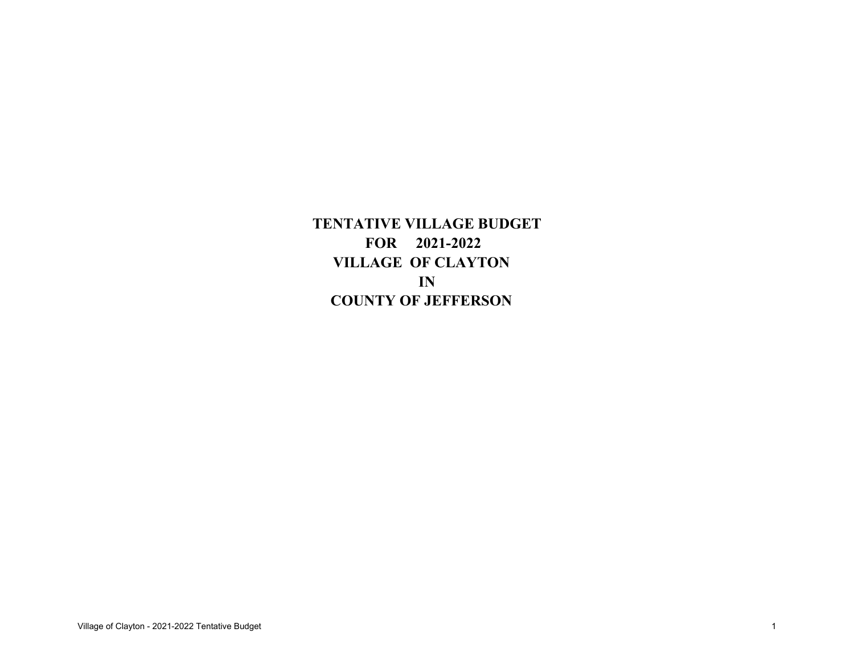**TENTATIVE VILLAGE BUDGET FOR 2021-2022 VILLAGE OF CLAYTON INCOUNTY OF JEFFERSON**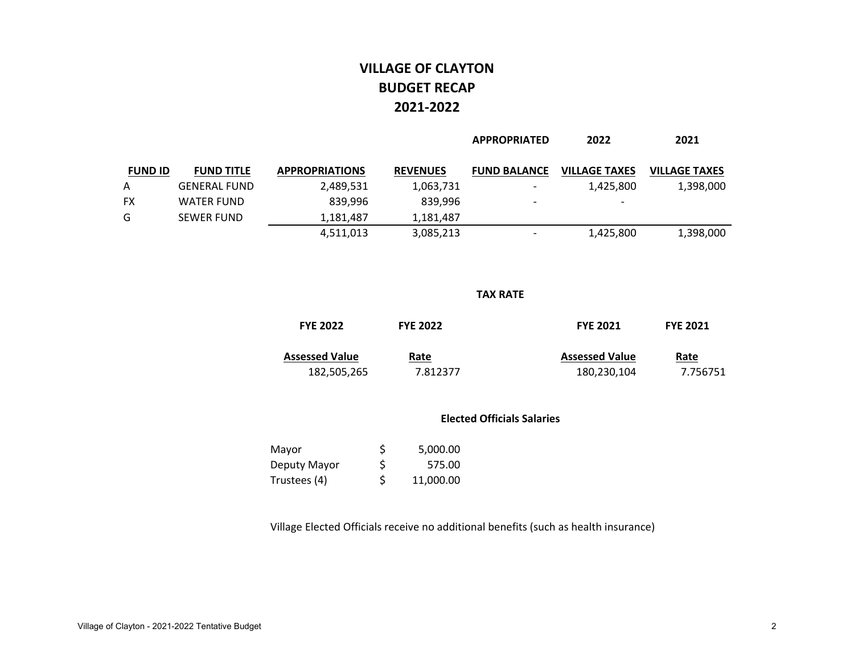# **VILLAGE OF CLAYTON BUDGET RECAP2021‐2022**

|                |                     |                       |                 | <b>APPROPRIATED</b>      | 2022                     | 2021                 |
|----------------|---------------------|-----------------------|-----------------|--------------------------|--------------------------|----------------------|
| <b>FUND ID</b> | <b>FUND TITLE</b>   | <b>APPROPRIATIONS</b> | <b>REVENUES</b> | <b>FUND BALANCE</b>      | <b>VILLAGE TAXES</b>     | <b>VILLAGE TAXES</b> |
| A              | <b>GENERAL FUND</b> | 2,489,531             | 1,063,731       | $\overline{\phantom{0}}$ | 1,425,800                | 1,398,000            |
| FX             | <b>WATER FUND</b>   | 839,996               | 839.996         | $\overline{\phantom{0}}$ | $\overline{\phantom{a}}$ |                      |
| G              | <b>SEWER FUND</b>   | 1,181,487             | 1,181,487       |                          |                          |                      |
|                |                     | 4,511,013             | 3,085,213       |                          | 1,425,800                | 1,398,000            |

#### **TAX RATE**

| <b>FYE 2022</b>       | <b>FYE 2022</b> | <b>FYE 2021</b>       | <b>FYE 2021</b> |
|-----------------------|-----------------|-----------------------|-----------------|
| <b>Assessed Value</b> | Rate            | <b>Assessed Value</b> | Rate            |
| 182,505,265           | 7.812377        | 180,230,104           | 7.756751        |

#### **Elected Officials Salaries**

| Mayor        | S  | 5,000.00  |
|--------------|----|-----------|
| Deputy Mayor | \$ | 575.00    |
| Trustees (4) | \$ | 11,000.00 |

Village Elected Officials receive no additional benefits (such as health insurance)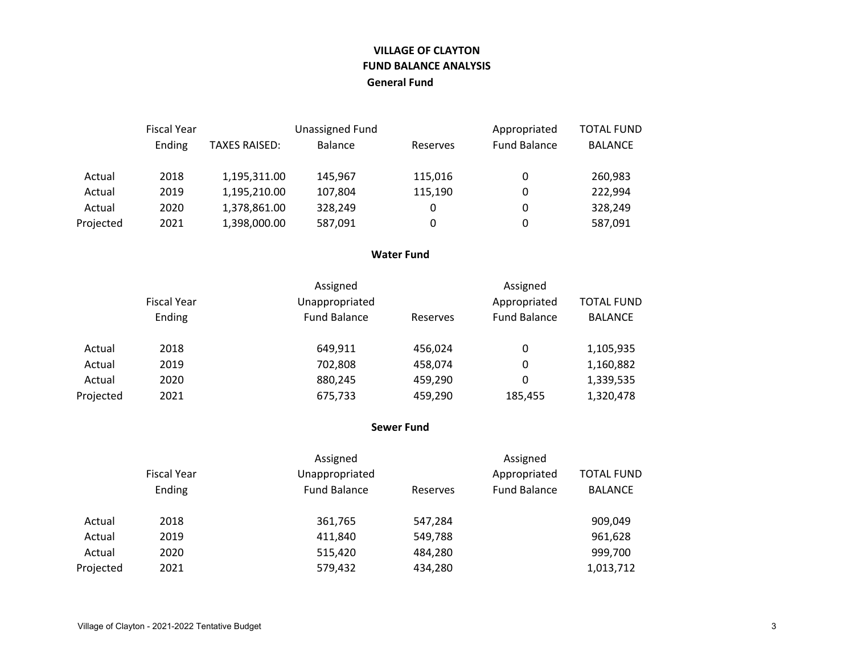### **VILLAGE OF CLAYTON FUND BALANCE ANALYSISGeneral Fund**

|           | <b>Fiscal Year</b> |                      | Unassigned Fund |          | Appropriated        | <b>TOTAL FUND</b> |  |
|-----------|--------------------|----------------------|-----------------|----------|---------------------|-------------------|--|
|           | Ending             | <b>TAXES RAISED:</b> | <b>Balance</b>  | Reserves | <b>Fund Balance</b> | <b>BALANCE</b>    |  |
| Actual    | 2018               | 1,195,311.00         | 145.967         | 115,016  | 0                   | 260,983           |  |
| Actual    | 2019               | 1,195,210.00         | 107,804         | 115,190  | 0                   | 222,994           |  |
| Actual    | 2020               | 1,378,861.00         | 328,249         | 0        | 0                   | 328,249           |  |
| Projected | 2021               | 1,398,000.00         | 587,091         | 0        | 0                   | 587,091           |  |

#### **Water Fund**

|           |                    | Assigned            |          | Assigned            |                   |
|-----------|--------------------|---------------------|----------|---------------------|-------------------|
|           | <b>Fiscal Year</b> | Unappropriated      |          | Appropriated        | <b>TOTAL FUND</b> |
|           | Ending             | <b>Fund Balance</b> | Reserves | <b>Fund Balance</b> | <b>BALANCE</b>    |
| Actual    | 2018               | 649,911             | 456.024  |                     | 1,105,935         |
| Actual    | 2019               | 702,808             | 458,074  | 0                   | 1,160,882         |
| Actual    | 2020               | 880,245             | 459,290  | 0                   | 1,339,535         |
| Projected | 2021               | 675,733             | 459,290  | 185,455             | 1,320,478         |

#### **Sewer Fund**

|           |                    | Assigned            |          | Assigned            |                   |
|-----------|--------------------|---------------------|----------|---------------------|-------------------|
|           | <b>Fiscal Year</b> | Unappropriated      |          | Appropriated        | <b>TOTAL FUND</b> |
|           | Ending             | <b>Fund Balance</b> | Reserves | <b>Fund Balance</b> | <b>BALANCE</b>    |
| Actual    | 2018               | 361,765             | 547,284  |                     | 909,049           |
| Actual    | 2019               | 411,840             | 549,788  |                     | 961,628           |
| Actual    | 2020               | 515,420             | 484,280  |                     | 999,700           |
| Projected | 2021               | 579,432             | 434,280  |                     | 1,013,712         |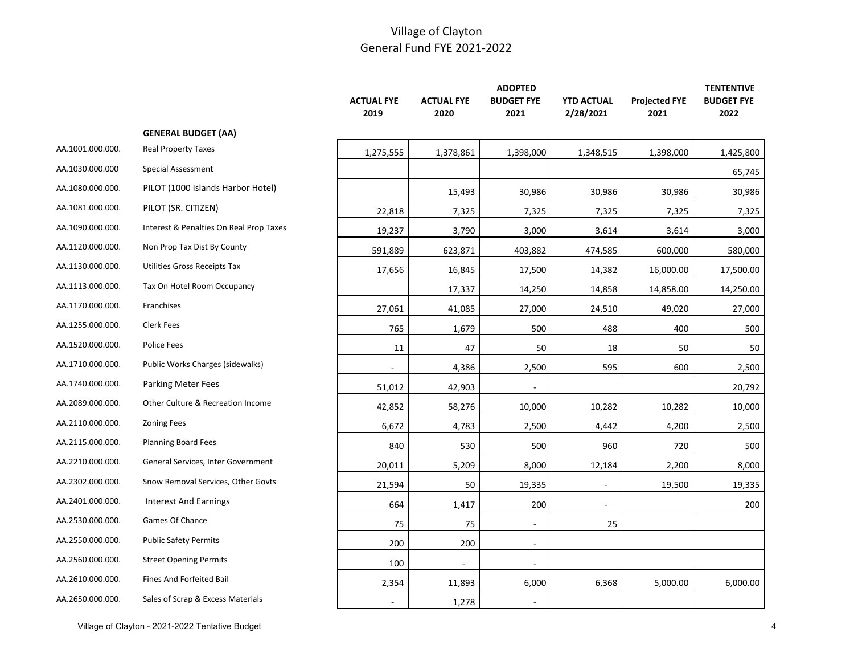|                  |                                         | <b>ACTUAL FYE</b><br>2019 | <b>ACTUAL FYE</b><br>2020 | <b>ADOPTED</b><br><b>BUDGET FYE</b><br>2021 | <b>YTD ACTUAL</b><br>2/28/2021 | <b>Projected FYE</b><br>2021 | <b>TENTENTIVE</b><br><b>BUDGET FYE</b><br>2022 |
|------------------|-----------------------------------------|---------------------------|---------------------------|---------------------------------------------|--------------------------------|------------------------------|------------------------------------------------|
|                  | <b>GENERAL BUDGET (AA)</b>              |                           |                           |                                             |                                |                              |                                                |
| AA.1001.000.000. | <b>Real Property Taxes</b>              | 1,275,555                 | 1,378,861                 | 1,398,000                                   | 1,348,515                      | 1,398,000                    | 1,425,800                                      |
| AA.1030.000.000  | Special Assessment                      |                           |                           |                                             |                                |                              | 65,745                                         |
| AA.1080.000.000. | PILOT (1000 Islands Harbor Hotel)       |                           | 15,493                    | 30,986                                      | 30,986                         | 30,986                       | 30,986                                         |
| AA.1081.000.000. | PILOT (SR. CITIZEN)                     | 22,818                    | 7,325                     | 7,325                                       | 7,325                          | 7,325                        | 7,325                                          |
| AA.1090.000.000. | Interest & Penalties On Real Prop Taxes | 19,237                    | 3,790                     | 3,000                                       | 3,614                          | 3,614                        | 3,000                                          |
| AA.1120.000.000. | Non Prop Tax Dist By County             | 591,889                   | 623,871                   | 403,882                                     | 474,585                        | 600,000                      | 580,000                                        |
| AA.1130.000.000. | <b>Utilities Gross Receipts Tax</b>     | 17,656                    | 16,845                    | 17,500                                      | 14,382                         | 16,000.00                    | 17,500.00                                      |
| AA.1113.000.000. | Tax On Hotel Room Occupancy             |                           | 17,337                    | 14,250                                      | 14,858                         | 14,858.00                    | 14,250.00                                      |
| AA.1170.000.000. | Franchises                              | 27,061                    | 41,085                    | 27,000                                      | 24,510                         | 49,020                       | 27,000                                         |
| AA.1255.000.000. | Clerk Fees                              | 765                       | 1,679                     | 500                                         | 488                            | 400                          | 500                                            |
| AA.1520.000.000. | Police Fees                             | 11                        | 47                        | 50                                          | 18                             | 50                           | 50                                             |
| AA.1710.000.000. | Public Works Charges (sidewalks)        | $\blacksquare$            | 4,386                     | 2,500                                       | 595                            | 600                          | 2,500                                          |
| AA.1740.000.000. | <b>Parking Meter Fees</b>               | 51,012                    | 42,903                    |                                             |                                |                              | 20,792                                         |
| AA.2089.000.000. | Other Culture & Recreation Income       | 42,852                    | 58,276                    | 10,000                                      | 10,282                         | 10,282                       | 10,000                                         |
| AA.2110.000.000. | <b>Zoning Fees</b>                      | 6,672                     | 4,783                     | 2,500                                       | 4,442                          | 4,200                        | 2,500                                          |
| AA.2115.000.000. | <b>Planning Board Fees</b>              | 840                       | 530                       | 500                                         | 960                            | 720                          | 500                                            |
| AA.2210.000.000. | General Services, Inter Government      | 20,011                    | 5,209                     | 8,000                                       | 12,184                         | 2,200                        | 8,000                                          |
| AA.2302.000.000. | Snow Removal Services, Other Govts      | 21,594                    | 50                        | 19,335                                      | $\overline{\phantom{a}}$       | 19,500                       | 19,335                                         |
| AA.2401.000.000. | <b>Interest And Earnings</b>            | 664                       | 1,417                     | 200                                         | $\overline{\phantom{a}}$       |                              | 200                                            |
| AA.2530.000.000. | Games Of Chance                         | 75                        | 75                        | $\sim$                                      | 25                             |                              |                                                |
| AA.2550.000.000. | <b>Public Safety Permits</b>            | 200                       | 200                       | $\overline{\phantom{a}}$                    |                                |                              |                                                |
| AA.2560.000.000. | <b>Street Opening Permits</b>           | 100                       | $\blacksquare$            | $\sim$                                      |                                |                              |                                                |
| AA.2610.000.000. | Fines And Forfeited Bail                | 2,354                     | 11,893                    | 6,000                                       | 6,368                          | 5,000.00                     | 6,000.00                                       |
| AA.2650.000.000. | Sales of Scrap & Excess Materials       | $\overline{a}$            | 1,278                     | $\sim$                                      |                                |                              |                                                |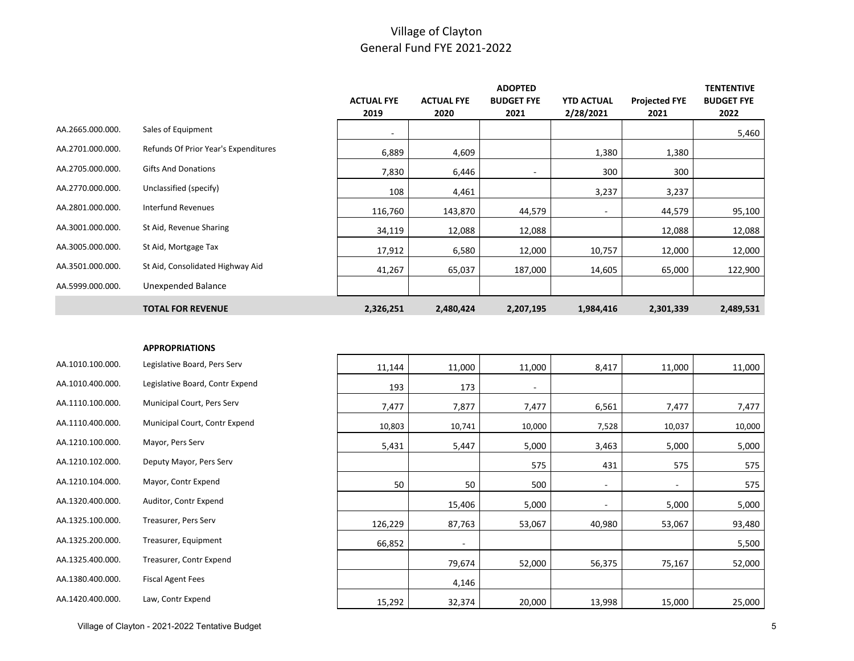|                  |                                      |                   |                   | <b>ADOPTED</b>    |                   |                      | <b>TENTENTIVE</b> |
|------------------|--------------------------------------|-------------------|-------------------|-------------------|-------------------|----------------------|-------------------|
|                  |                                      | <b>ACTUAL FYE</b> | <b>ACTUAL FYE</b> | <b>BUDGET FYE</b> | <b>YTD ACTUAL</b> | <b>Projected FYE</b> | <b>BUDGET FYE</b> |
|                  |                                      | 2019              | 2020              | 2021              | 2/28/2021         | 2021                 | 2022              |
| AA.2665.000.000. | Sales of Equipment                   | $\sim$            |                   |                   |                   |                      | 5,460             |
| AA.2701.000.000. | Refunds Of Prior Year's Expenditures | 6,889             | 4,609             |                   | 1,380             | 1,380                |                   |
| AA.2705.000.000. | <b>Gifts And Donations</b>           | 7,830             | 6,446             |                   | 300               | 300                  |                   |
| AA.2770.000.000. | Unclassified (specify)               | 108               | 4,461             |                   | 3,237             | 3,237                |                   |
| AA.2801.000.000. | <b>Interfund Revenues</b>            | 116,760           | 143,870           | 44,579            | $\sim$            | 44,579               | 95,100            |
| AA.3001.000.000. | St Aid, Revenue Sharing              | 34,119            | 12,088            | 12,088            |                   | 12,088               | 12,088            |
| AA.3005.000.000. | St Aid, Mortgage Tax                 | 17,912            | 6,580             | 12,000            | 10,757            | 12,000               | 12,000            |
| AA.3501.000.000. | St Aid, Consolidated Highway Aid     | 41,267            | 65,037            | 187,000           | 14,605            | 65,000               | 122,900           |
| AA.5999.000.000. | Unexpended Balance                   |                   |                   |                   |                   |                      |                   |
|                  | <b>TOTAL FOR REVENUE</b>             | 2,326,251         | 2,480,424         | 2,207,195         | 1,984,416         | 2,301,339            | 2,489,531         |

#### **APPROPRIATIONS**

| AA.1010.100.000.<br>Legislative Board, Pers Serv    | 11,144  | 11,000 |
|-----------------------------------------------------|---------|--------|
| Legislative Board, Contr Expend<br>AA.1010.400.000. | 193     | 173    |
| AA.1110.100.000.<br>Municipal Court, Pers Serv      | 7,477   | 7,877  |
| AA.1110.400.000.<br>Municipal Court, Contr Expend   | 10,803  | 10,741 |
| AA.1210.100.000.<br>Mayor, Pers Serv                | 5,431   | 5,447  |
| AA.1210.102.000.<br>Deputy Mayor, Pers Serv         |         |        |
| AA.1210.104.000.<br>Mayor, Contr Expend             | 50      | 50     |
| Auditor, Contr Expend<br>AA.1320.400.000.           |         | 15,406 |
| AA.1325.100.000.<br>Treasurer, Pers Serv            | 126,229 | 87,763 |
| AA.1325.200.000.<br>Treasurer, Equipment            | 66,852  |        |
| AA.1325.400.000.<br>Treasurer, Contr Expend         |         | 79,674 |
| AA.1380.400.000.<br><b>Fiscal Agent Fees</b>        |         | 4,146  |
| AA.1420.400.000.<br>Law, Contr Expend               | 15,292  | 32,374 |

| 11,144  | 11,000                   | 11,000 | 8,417                    | 11,000                   | 11,000 |
|---------|--------------------------|--------|--------------------------|--------------------------|--------|
| 193     | 173                      | ٠      |                          |                          |        |
| 7,477   | 7,877                    | 7,477  | 6,561                    | 7,477                    | 7,477  |
| 10,803  | 10,741                   | 10,000 | 7,528                    | 10,037                   | 10,000 |
| 5,431   | 5,447                    | 5,000  | 3,463                    | 5,000                    | 5,000  |
|         |                          | 575    | 431                      | 575                      | 575    |
| 50      | 50                       | 500    | $\overline{\phantom{a}}$ | $\overline{\phantom{m}}$ | 575    |
|         | 15,406                   | 5,000  | ٠                        | 5,000                    | 5,000  |
| 126,229 | 87,763                   | 53,067 | 40,980                   | 53,067                   | 93,480 |
| 66,852  | $\overline{\phantom{a}}$ |        |                          |                          | 5,500  |
|         | 79,674                   | 52,000 | 56,375                   | 75,167                   | 52,000 |
|         | 4,146                    |        |                          |                          |        |
| 15,292  | 32,374                   | 20,000 | 13,998                   | 15,000                   | 25,000 |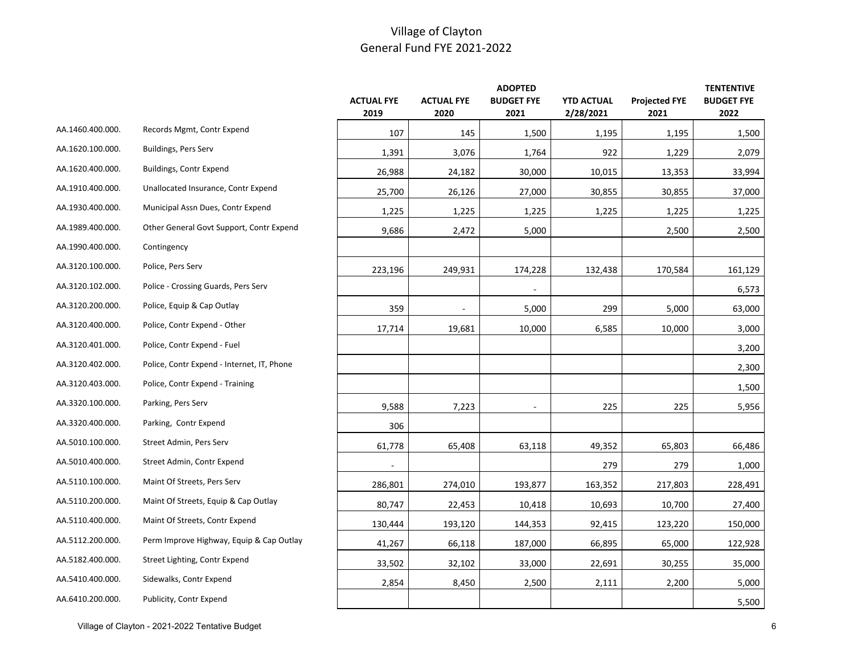|                  |                                            |                           |                           | <b>ADOPTED</b>            |                                |                              | <b>TENTENTIVE</b>         |
|------------------|--------------------------------------------|---------------------------|---------------------------|---------------------------|--------------------------------|------------------------------|---------------------------|
|                  |                                            | <b>ACTUAL FYE</b><br>2019 | <b>ACTUAL FYE</b><br>2020 | <b>BUDGET FYE</b><br>2021 | <b>YTD ACTUAL</b><br>2/28/2021 | <b>Projected FYE</b><br>2021 | <b>BUDGET FYE</b><br>2022 |
| AA.1460.400.000. | Records Mgmt, Contr Expend                 |                           |                           |                           |                                |                              |                           |
|                  |                                            | 107                       | 145                       | 1,500                     | 1,195                          | 1,195                        | 1,500                     |
| AA.1620.100.000. | Buildings, Pers Serv                       | 1,391                     | 3,076                     | 1,764                     | 922                            | 1,229                        | 2,079                     |
| AA.1620.400.000. | Buildings, Contr Expend                    | 26,988                    | 24,182                    | 30,000                    | 10,015                         | 13,353                       | 33,994                    |
| AA.1910.400.000. | Unallocated Insurance, Contr Expend        | 25,700                    | 26,126                    | 27,000                    | 30,855                         | 30,855                       | 37,000                    |
| AA.1930.400.000. | Municipal Assn Dues, Contr Expend          | 1,225                     | 1,225                     | 1,225                     | 1,225                          | 1,225                        | 1,225                     |
| AA.1989.400.000. | Other General Govt Support, Contr Expend   | 9,686                     | 2,472                     | 5,000                     |                                | 2,500                        | 2,500                     |
| AA.1990.400.000. | Contingency                                |                           |                           |                           |                                |                              |                           |
| AA.3120.100.000. | Police, Pers Serv                          | 223,196                   | 249,931                   | 174,228                   | 132,438                        | 170,584                      | 161,129                   |
| AA.3120.102.000. | Police - Crossing Guards, Pers Serv        |                           |                           |                           |                                |                              | 6,573                     |
| AA.3120.200.000. | Police, Equip & Cap Outlay                 | 359                       |                           | 5,000                     | 299                            | 5,000                        | 63,000                    |
| AA.3120.400.000. | Police, Contr Expend - Other               | 17,714                    | 19,681                    | 10,000                    | 6,585                          | 10,000                       | 3,000                     |
| AA.3120.401.000. | Police, Contr Expend - Fuel                |                           |                           |                           |                                |                              | 3,200                     |
| AA.3120.402.000. | Police, Contr Expend - Internet, IT, Phone |                           |                           |                           |                                |                              | 2,300                     |
| AA.3120.403.000. | Police, Contr Expend - Training            |                           |                           |                           |                                |                              | 1,500                     |
| AA.3320.100.000. | Parking, Pers Serv                         | 9,588                     | 7,223                     |                           | 225                            | 225                          | 5,956                     |
| AA.3320.400.000. | Parking, Contr Expend                      | 306                       |                           |                           |                                |                              |                           |
| AA.5010.100.000. | Street Admin, Pers Serv                    | 61,778                    | 65,408                    | 63,118                    | 49,352                         | 65,803                       | 66,486                    |
| AA.5010.400.000. | Street Admin, Contr Expend                 |                           |                           |                           | 279                            | 279                          | 1,000                     |
| AA.5110.100.000. | Maint Of Streets, Pers Serv                | 286,801                   | 274,010                   | 193,877                   | 163,352                        | 217,803                      | 228,491                   |
| AA.5110.200.000. | Maint Of Streets, Equip & Cap Outlay       | 80,747                    | 22,453                    | 10,418                    | 10,693                         | 10,700                       | 27,400                    |
| AA.5110.400.000. | Maint Of Streets, Contr Expend             | 130,444                   | 193,120                   | 144,353                   | 92,415                         | 123,220                      | 150,000                   |
| AA.5112.200.000. | Perm Improve Highway, Equip & Cap Outlay   | 41,267                    | 66,118                    | 187,000                   | 66,895                         | 65,000                       | 122,928                   |
| AA.5182.400.000. | Street Lighting, Contr Expend              | 33,502                    | 32,102                    | 33,000                    | 22,691                         | 30,255                       | 35,000                    |
| AA.5410.400.000. | Sidewalks, Contr Expend                    | 2,854                     | 8,450                     | 2,500                     | 2,111                          | 2,200                        | 5,000                     |
| AA.6410.200.000. | Publicity, Contr Expend                    |                           |                           |                           |                                |                              | 5,500                     |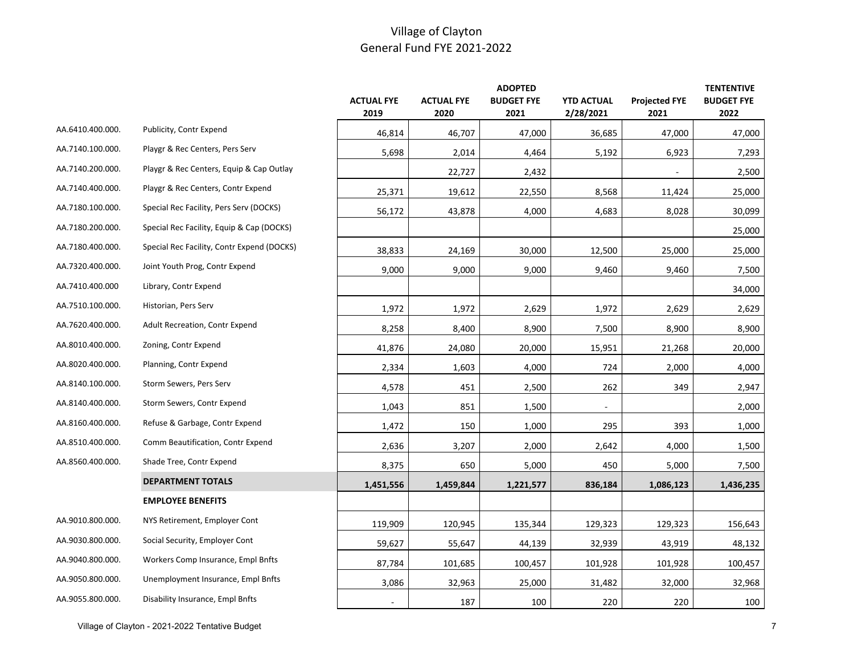|                  |                                            | <b>ACTUAL FYE</b><br>2019 | <b>ACTUAL FYE</b><br>2020 | <b>ADOPTED</b><br><b>BUDGET FYE</b><br>2021 | <b>YTD ACTUAL</b><br>2/28/2021 | <b>Projected FYE</b><br>2021 | <b>TENTENTIVE</b><br><b>BUDGET FYE</b><br>2022 |
|------------------|--------------------------------------------|---------------------------|---------------------------|---------------------------------------------|--------------------------------|------------------------------|------------------------------------------------|
| AA.6410.400.000. | Publicity, Contr Expend                    | 46,814                    | 46,707                    | 47,000                                      | 36,685                         | 47,000                       | 47,000                                         |
| AA.7140.100.000. | Playgr & Rec Centers, Pers Serv            | 5,698                     | 2,014                     | 4,464                                       | 5,192                          | 6,923                        | 7,293                                          |
| AA.7140.200.000. | Playgr & Rec Centers, Equip & Cap Outlay   |                           | 22,727                    | 2,432                                       |                                |                              | 2,500                                          |
| AA.7140.400.000. | Playgr & Rec Centers, Contr Expend         | 25,371                    | 19,612                    | 22,550                                      | 8,568                          | 11,424                       | 25,000                                         |
| AA.7180.100.000. | Special Rec Facility, Pers Serv (DOCKS)    | 56,172                    | 43,878                    | 4,000                                       | 4,683                          | 8,028                        | 30,099                                         |
| AA.7180.200.000. | Special Rec Facility, Equip & Cap (DOCKS)  |                           |                           |                                             |                                |                              | 25,000                                         |
| AA.7180.400.000. | Special Rec Facility, Contr Expend (DOCKS) | 38,833                    | 24,169                    | 30,000                                      | 12,500                         | 25,000                       | 25,000                                         |
| AA.7320.400.000. | Joint Youth Prog, Contr Expend             | 9,000                     | 9,000                     | 9,000                                       | 9,460                          | 9,460                        | 7,500                                          |
| AA.7410.400.000  | Library, Contr Expend                      |                           |                           |                                             |                                |                              | 34,000                                         |
| AA.7510.100.000. | Historian, Pers Serv                       | 1,972                     | 1,972                     | 2,629                                       | 1,972                          | 2,629                        | 2,629                                          |
| AA.7620.400.000. | Adult Recreation, Contr Expend             | 8,258                     | 8,400                     | 8,900                                       | 7,500                          | 8,900                        | 8,900                                          |
| AA.8010.400.000. | Zoning, Contr Expend                       | 41,876                    | 24,080                    | 20,000                                      | 15,951                         | 21,268                       | 20,000                                         |
| AA.8020.400.000. | Planning, Contr Expend                     | 2,334                     | 1,603                     | 4,000                                       | 724                            | 2,000                        | 4,000                                          |
| AA.8140.100.000. | Storm Sewers, Pers Serv                    | 4,578                     | 451                       | 2,500                                       | 262                            | 349                          | 2,947                                          |
| AA.8140.400.000. | Storm Sewers, Contr Expend                 | 1,043                     | 851                       | 1,500                                       | $\blacksquare$                 |                              | 2,000                                          |
| AA.8160.400.000. | Refuse & Garbage, Contr Expend             | 1,472                     | 150                       | 1,000                                       | 295                            | 393                          | 1,000                                          |
| AA.8510.400.000. | Comm Beautification, Contr Expend          | 2,636                     | 3,207                     | 2,000                                       | 2,642                          | 4,000                        | 1,500                                          |
| AA.8560.400.000. | Shade Tree, Contr Expend                   | 8,375                     | 650                       | 5,000                                       | 450                            | 5,000                        | 7,500                                          |
|                  | <b>DEPARTMENT TOTALS</b>                   | 1,451,556                 | 1,459,844                 | 1,221,577                                   | 836,184                        | 1,086,123                    | 1,436,235                                      |
|                  | <b>EMPLOYEE BENEFITS</b>                   |                           |                           |                                             |                                |                              |                                                |
| AA.9010.800.000. | NYS Retirement, Employer Cont              | 119,909                   | 120,945                   | 135,344                                     | 129,323                        | 129,323                      | 156,643                                        |
| AA.9030.800.000. | Social Security, Employer Cont             | 59,627                    | 55,647                    | 44,139                                      | 32,939                         | 43,919                       | 48,132                                         |
| AA.9040.800.000. | Workers Comp Insurance, Empl Bnfts         | 87,784                    | 101,685                   | 100,457                                     | 101,928                        | 101,928                      | 100,457                                        |
| AA.9050.800.000. | Unemployment Insurance, Empl Bnfts         | 3,086                     | 32,963                    | 25,000                                      | 31,482                         | 32,000                       | 32,968                                         |
| AA.9055.800.000. | Disability Insurance, Empl Bnfts           | $\blacksquare$            | 187                       | 100                                         | 220                            | 220                          | 100                                            |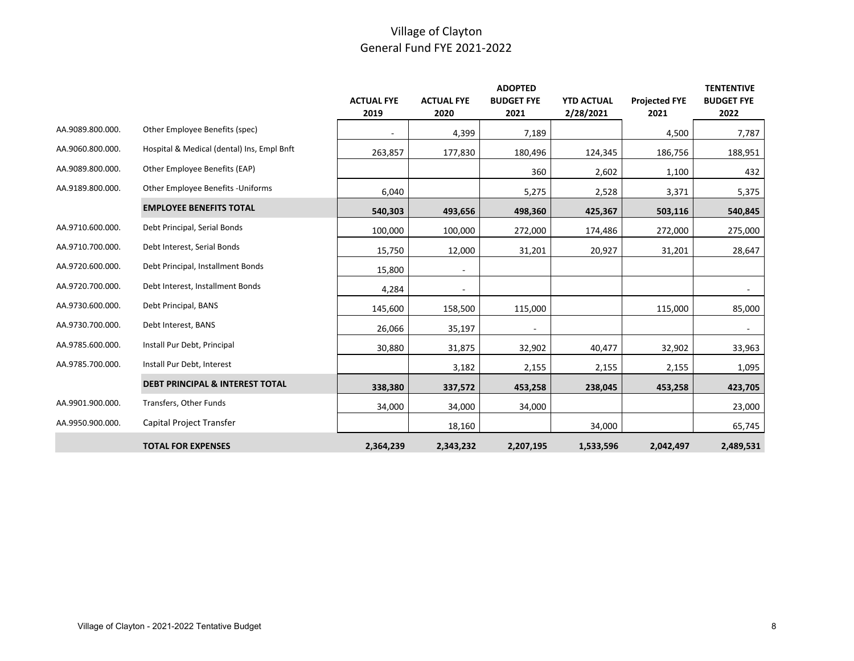|                  |                                            |                   |                   | <b>ADOPTED</b>    |                   |                      | <b>TENTENTIVE</b> |
|------------------|--------------------------------------------|-------------------|-------------------|-------------------|-------------------|----------------------|-------------------|
|                  |                                            | <b>ACTUAL FYE</b> | <b>ACTUAL FYE</b> | <b>BUDGET FYE</b> | <b>YTD ACTUAL</b> | <b>Projected FYE</b> | <b>BUDGET FYE</b> |
|                  |                                            | 2019              | 2020              | 2021              | 2/28/2021         | 2021                 | 2022              |
| AA.9089.800.000. | Other Employee Benefits (spec)             |                   | 4,399             | 7,189             |                   | 4,500                | 7,787             |
| AA.9060.800.000. | Hospital & Medical (dental) Ins, Empl Bnft | 263,857           | 177,830           | 180,496           | 124,345           | 186,756              | 188,951           |
| AA.9089.800.000. | Other Employee Benefits (EAP)              |                   |                   | 360               | 2,602             | 1,100                | 432               |
| AA.9189.800.000. | Other Employee Benefits - Uniforms         | 6,040             |                   | 5,275             | 2,528             | 3,371                | 5,375             |
|                  | <b>EMPLOYEE BENEFITS TOTAL</b>             | 540,303           | 493,656           | 498,360           | 425,367           | 503,116              | 540,845           |
| AA.9710.600.000. | Debt Principal, Serial Bonds               | 100,000           | 100,000           | 272,000           | 174,486           | 272,000              | 275,000           |
| AA.9710.700.000. | Debt Interest, Serial Bonds                | 15,750            | 12,000            | 31,201            | 20,927            | 31,201               | 28,647            |
| AA.9720.600.000. | Debt Principal, Installment Bonds          | 15,800            |                   |                   |                   |                      |                   |
| AA.9720.700.000. | Debt Interest, Installment Bonds           | 4,284             |                   |                   |                   |                      |                   |
| AA.9730.600.000. | Debt Principal, BANS                       | 145,600           | 158,500           | 115,000           |                   | 115,000              | 85,000            |
| AA.9730.700.000. | Debt Interest, BANS                        | 26,066            | 35,197            |                   |                   |                      |                   |
| AA.9785.600.000. | Install Pur Debt, Principal                | 30,880            | 31,875            | 32,902            | 40,477            | 32,902               | 33,963            |
| AA.9785.700.000. | Install Pur Debt, Interest                 |                   | 3,182             | 2,155             | 2,155             | 2,155                | 1,095             |
|                  | <b>DEBT PRINCIPAL &amp; INTEREST TOTAL</b> | 338,380           | 337,572           | 453,258           | 238,045           | 453,258              | 423,705           |
| AA.9901.900.000. | Transfers, Other Funds                     | 34,000            | 34,000            | 34,000            |                   |                      | 23,000            |
| AA.9950.900.000. | Capital Project Transfer                   |                   | 18,160            |                   | 34,000            |                      | 65,745            |
|                  | <b>TOTAL FOR EXPENSES</b>                  | 2,364,239         | 2,343,232         | 2,207,195         | 1,533,596         | 2,042,497            | 2,489,531         |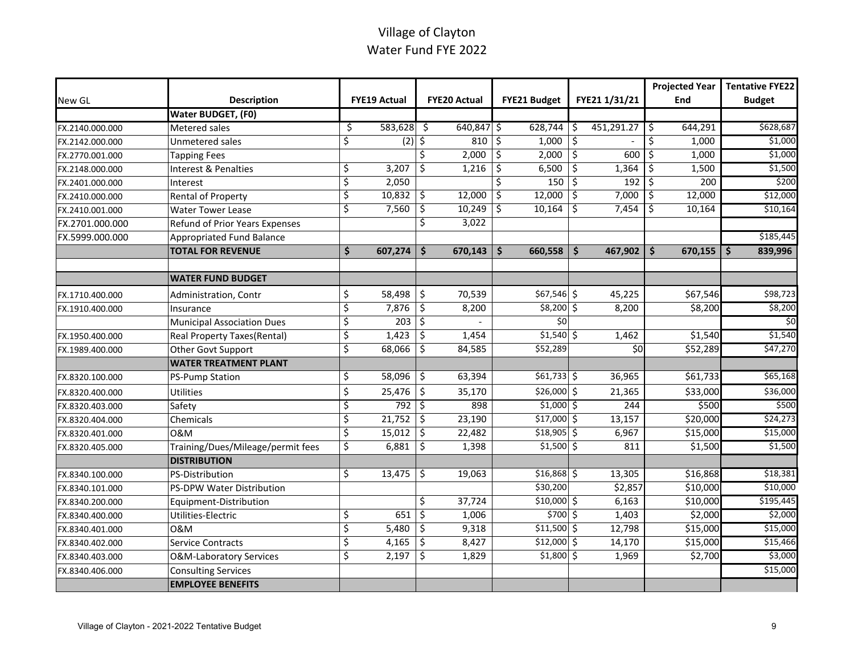# Village of Clayton Water Fund FYE 2022

|                 |                                    |                          |              |                          |                     |               |     |               | <b>Projected Year</b>          | <b>Tentative FYE22</b>   |
|-----------------|------------------------------------|--------------------------|--------------|--------------------------|---------------------|---------------|-----|---------------|--------------------------------|--------------------------|
| New GL          | <b>Description</b>                 |                          | FYE19 Actual |                          | <b>FYE20 Actual</b> | FYE21 Budget  |     | FYE21 1/31/21 | End                            | <b>Budget</b>            |
|                 | Water BUDGET, (F0)                 |                          |              |                          |                     |               |     |               |                                |                          |
| FX.2140.000.000 | <b>Metered sales</b>               | \$                       | 583,628      | Ŝ.                       | 640,847 \$          | $628,744$ \$  |     | 451,291.27    | 644,291<br>Ŝ.                  | \$628,687                |
| FX.2142.000.000 | Unmetered sales                    | \$                       | (2)          | \$                       | 810                 | \$<br>1,000   | \$  |               | 1,000<br>Ŝ.                    | \$1,000                  |
| FX.2770.001.000 | <b>Tapping Fees</b>                |                          |              | Ś.                       | 2,000               | \$<br>2,000   | \$  | 600           | 1,000<br>\$                    | \$1,000                  |
| FX.2148.000.000 | <b>Interest &amp; Penalties</b>    | \$                       | 3,207        | \$                       | 1,216               | \$<br>6,500   | \$  | 1,364         | 1,500<br>Ŝ.                    | \$1,500                  |
| FX.2401.000.000 | Interest                           | ऽ                        | 2,050        |                          |                     | \$<br>150     | \$  | 192           | 200<br>Ŝ.                      | \$200                    |
| FX.2410.000.000 | <b>Rental of Property</b>          | ऽ                        | 10,832       | \$                       | 12,000              | \$<br>12,000  | Ŝ.  | 7,000         | 12,000<br>\$                   | \$12,000                 |
| FX.2410.001.000 | <b>Water Tower Lease</b>           | \$                       | 7,560        | \$                       | 10,249              | \$<br>10,164  | Ŝ.  | 7,454         | 10,164<br>Ŝ.                   | \$10,164                 |
| FX.2701.000.000 | Refund of Prior Years Expenses     |                          |              | Ŝ.                       | 3,022               |               |     |               |                                |                          |
| FX.5999.000.000 | <b>Appropriated Fund Balance</b>   |                          |              |                          |                     |               |     |               |                                | \$185,445                |
|                 | <b>TOTAL FOR REVENUE</b>           | \$                       | 607,274      | Ŝ.                       | 670,143             | \$<br>660,558 | -\$ | 467,902       | $\ddot{\bm{\zeta}}$<br>670,155 | 839,996<br>Ŝ.            |
|                 |                                    |                          |              |                          |                     |               |     |               |                                |                          |
|                 | <b>WATER FUND BUDGET</b>           |                          |              |                          |                     |               |     |               |                                |                          |
| FX.1710.400.000 | Administration, Contr              | \$                       | 58,498       | \$                       | 70,539              | $$67,546$ \$  |     | 45,225        | \$67,546                       | \$98,723                 |
| FX.1910.400.000 | Insurance                          | ॱऽ                       | 7,876        | \$                       | 8,200               | $$8,200$ \$   |     | 8,200         | \$8,200                        | \$8,200                  |
|                 | <b>Municipal Association Dues</b>  | ऽ                        | 203          | $\overline{\varsigma}$   |                     | \$0           |     |               |                                | $\overline{\mathsf{50}}$ |
| FX.1950.400.000 | Real Property Taxes(Rental)        | `\$                      | 1,423        | \$                       | 1,454               | $$1,540$ \$   |     | 1,462         | \$1,540                        | \$1,540                  |
| FX.1989.400.000 | Other Govt Support                 | \$                       | 68,066       | \$                       | 84,585              | \$52,289      |     | \$0           | \$52,289                       | \$47,270                 |
|                 | <b>WATER TREATMENT PLANT</b>       |                          |              |                          |                     |               |     |               |                                |                          |
| FX.8320.100.000 | <b>PS-Pump Station</b>             | \$                       | 58,096       | \$                       | 63,394              | \$61,733      |     | 36,965        | \$61,733                       | \$65,168                 |
| FX.8320.400.000 | Utilities                          | $\zeta$                  | 25,476       | \$                       | 35,170              | $$26,000$ \$  |     | 21,365        | \$33,000                       | \$36,000                 |
| FX.8320.403.000 | Safety                             | ॱऽ                       | 792          | \$                       | 898                 | $$1,000$ \$   |     | 244           | \$500                          | \$500                    |
| FX.8320.404.000 | Chemicals                          | ऽ                        | 21,752       | Ŝ.                       | 23,190              | $$17,000$ \$  |     | 13,157        | \$20,000                       | \$24,273                 |
| FX.8320.401.000 | 0&M                                | $\overline{\mathcal{S}}$ | 15,012       | \$                       | 22,482              | $$18,905$ \$  |     | 6,967         | \$15,000                       | \$15,000                 |
| FX.8320.405.000 | Training/Dues/Mileage/permit fees  | \$                       | 6,881        | Ś.                       | 1,398               | $$1,500$ \$   |     | 811           | \$1,500                        | \$1,500                  |
|                 | <b>DISTRIBUTION</b>                |                          |              |                          |                     |               |     |               |                                |                          |
| FX.8340.100.000 | <b>PS-Distribution</b>             | $\overline{\mathcal{S}}$ | 13,475       | \$                       | 19,063              | \$16,868      |     | 13,305        | \$16,868                       | \$18,381                 |
| FX.8340.101.000 | PS-DPW Water Distribution          |                          |              |                          |                     | \$30,200      |     | \$2,857       | \$10,000                       | \$10,000                 |
| FX.8340.200.000 | Equipment-Distribution             |                          |              | Ŝ.                       | 37,724              | $$10,000$ \$  |     | 6,163         | \$10,000                       | \$195,445                |
| FX.8340.400.000 | Utilities-Electric                 | \$                       | 651          | \$                       | 1,006               | $$700$ \$     |     | 1,403         | \$2,000                        | \$2,000                  |
| FX.8340.401.000 | 0&M                                | ऽ                        | 5,480        | $\overline{\mathcal{L}}$ | 9,318               | $$11,500$ \$  |     | 12,798        | \$15,000                       | \$15,000                 |
| FX.8340.402.000 | <b>Service Contracts</b>           | ऽ                        | 4,165        | $\overline{\varsigma}$   | 8,427               | $$12,000$ \$  |     | 14,170        | \$15,000                       | \$15,466                 |
| FX.8340.403.000 | <b>O&amp;M-Laboratory Services</b> | ॱऽ                       | 2,197        | \$                       | 1,829               | $$1,800$ \$   |     | 1,969         | \$2,700                        | \$3,000                  |
| FX.8340.406.000 | <b>Consulting Services</b>         |                          |              |                          |                     |               |     |               |                                | \$15,000                 |
|                 | <b>EMPLOYEE BENEFITS</b>           |                          |              |                          |                     |               |     |               |                                |                          |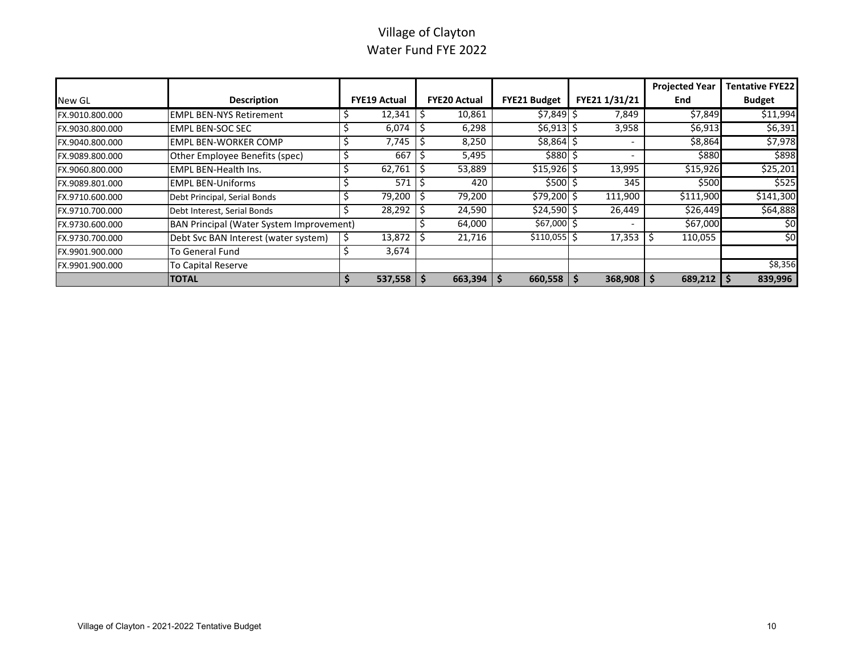# Village of Clayton Water Fund FYE 2022

|                 |                                                 |                     |                     |                     |                          | <b>Projected Year</b> | <b>Tentative FYE22</b> |
|-----------------|-------------------------------------------------|---------------------|---------------------|---------------------|--------------------------|-----------------------|------------------------|
| New GL          | <b>Description</b>                              | <b>FYE19 Actual</b> | <b>FYE20 Actual</b> | <b>FYE21 Budget</b> | FYE21 1/31/21            | End                   | <b>Budget</b>          |
| FX.9010.800.000 | <b>EMPL BEN-NYS Retirement</b>                  | 12,341              | 10,861              | $$7,849$ \$         | 7,849                    | \$7,849               | \$11,994               |
| FX.9030.800.000 | <b>EMPL BEN-SOC SEC</b>                         | 6,074               | 6,298               | $$6,913$ $$$        | 3,958                    | \$6,913               | \$6,391                |
| FX.9040.800.000 | <b>EMPL BEN-WORKER COMP</b>                     | 7,745               | 8,250               | $$8,864$ \$         |                          | \$8,864               | \$7,978                |
| FX.9089.800.000 | Other Employee Benefits (spec)                  | 667                 | 5,495               | \$880 \$            | $\overline{\phantom{0}}$ | \$880                 | \$898                  |
| FX.9060.800.000 | <b>EMPL BEN-Health Ins.</b>                     | 62,761              | 53,889              | $$15,926$ \$        | 13,995                   | \$15,926              | \$25,201               |
| FX.9089.801.000 | <b>EMPL BEN-Uniforms</b>                        | 571                 | 420                 | \$500 \$            | 345                      | \$500                 | \$525                  |
| FX.9710.600.000 | Debt Principal, Serial Bonds                    | 79,200              | 79,200              | \$79,200 \$         | 111,900                  | \$111,900             | \$141,300              |
| FX.9710.700.000 | Debt Interest, Serial Bonds                     | 28,292              | 24,590              | $$24,590$ \$        | 26,449                   | \$26,449              | \$64,888               |
| FX.9730.600.000 | <b>BAN Principal (Water System Improvement)</b> |                     | 64,000              | $$67,000$ \$        |                          | \$67,000              | \$0                    |
| FX.9730.700.000 | Debt Svc BAN Interest (water system)            | 13,872              | 21,716              | \$110,055           | 17,353                   | 110,055               | \$0                    |
| FX.9901.900.000 | To General Fund                                 | 3,674               |                     |                     |                          |                       |                        |
| FX.9901.900.000 | <b>To Capital Reserve</b>                       |                     |                     |                     |                          |                       | \$8,356                |
|                 | <b>ITOTAL</b>                                   | 537,558             | 663,394             | 660,558             | 368,908                  | 689,212               | 839,996                |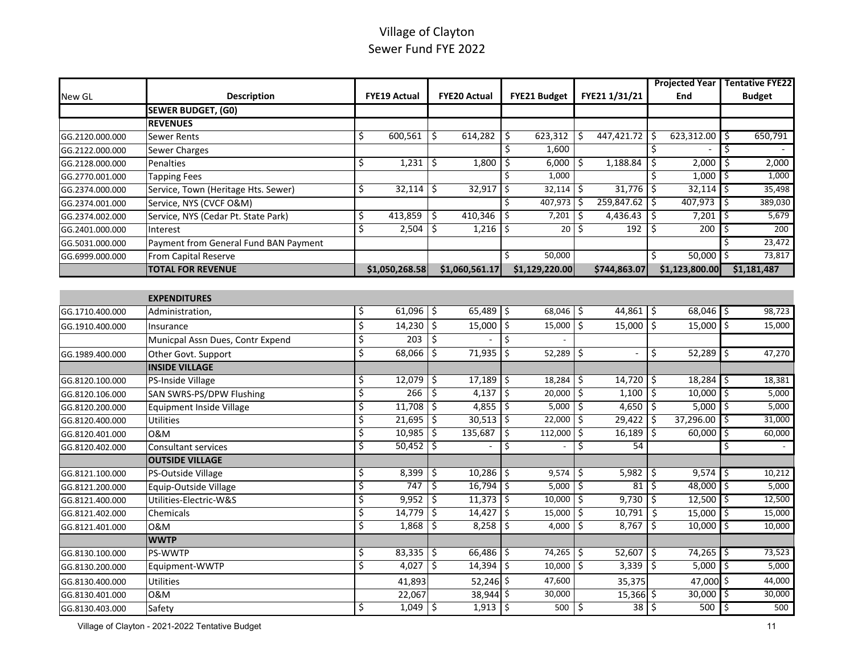# Village of Clayton Sewer Fund FYE 2022

|                 |                                       |                     |                         |                     |                     |                          |                        |               |               | <b>Projected Year   Tentative FYE22</b> |              |               |
|-----------------|---------------------------------------|---------------------|-------------------------|---------------------|---------------------|--------------------------|------------------------|---------------|---------------|-----------------------------------------|--------------|---------------|
| New GL          | <b>Description</b>                    | <b>FYE19 Actual</b> |                         | <b>FYE20 Actual</b> |                     | FYE21 Budget             |                        | FYE21 1/31/21 |               | End                                     |              | <b>Budget</b> |
|                 | <b>SEWER BUDGET, (GO)</b>             |                     |                         |                     |                     |                          |                        |               |               |                                         |              |               |
|                 | <b>REVENUES</b>                       |                     |                         |                     |                     |                          |                        |               |               |                                         |              |               |
| GG.2120.000.000 | <b>Sewer Rents</b>                    | \$<br>600,561       | \$                      | 614,282             | \$                  | 623,312                  | Ś.                     | 447,421.72    | Ŝ.            | 623,312.00                              |              | 650,791       |
| GG.2122.000.000 | Sewer Charges                         |                     |                         |                     | \$                  | 1,600                    |                        |               | \$            |                                         |              |               |
| GG.2128.000.000 | Penalties                             | \$<br>1,231         | \$                      | $1,800$ \$          |                     | 6,000                    | \$                     | 1,188.84      | \$            | 2,000                                   | \$           | 2,000         |
| GG.2770.001.000 | <b>Tapping Fees</b>                   |                     |                         |                     |                     | 1,000                    |                        |               | Ś             | 1,000                                   |              | 1,000         |
| GG.2374.000.000 | Service, Town (Heritage Hts. Sewer)   | \$<br>32,114        | Ŝ.                      | 32,917              | l \$                | 32,114                   | \$                     | 31,776        | ۱\$           | 32,114                                  | \$           | 35,498        |
| GG.2374.001.000 | Service, NYS (CVCF O&M)               |                     |                         |                     | \$                  | 407,973                  | Ś.                     | 259,847.62    | Ŝ.            | 407,973                                 | Ś            | 389,030       |
| GG.2374.002.000 | Service, NYS (Cedar Pt. State Park)   | \$<br>413,859       | \$                      | 410,346             | $\ddot{\xi}$        | 7,201                    | \$                     | 4,436.43      | \$            | 7,201                                   | \$           | 5,679         |
| GG.2401.000.000 | Interest                              | \$<br>2,504         | \$                      | $1,216$ \$          |                     | 20                       | \$                     | 192           | \$.           | 200                                     | S            | 200           |
| GG.5031.000.000 | Payment from General Fund BAN Payment |                     |                         |                     |                     |                          |                        |               |               |                                         |              | 23,472        |
| GG.6999.000.000 | From Capital Reserve                  |                     |                         |                     |                     | 50.000                   |                        |               | Ś.            | 50,000                                  |              | 73,817        |
|                 | <b>TOTAL FOR REVENUE</b>              | \$1,050,268.58      |                         | \$1,060,561.17      |                     | \$1,129,220.00           |                        | \$744,863.07  |               | \$1,123,800.00                          |              | \$1,181,487   |
|                 |                                       |                     |                         |                     |                     |                          |                        |               |               |                                         |              |               |
|                 | <b>EXPENDITURES</b>                   |                     |                         |                     |                     |                          |                        |               |               |                                         |              |               |
| GG.1710.400.000 | Administration,                       | \$<br>$61,096$ \$   |                         | $65,489$ \$         |                     | $68,046$ \$              |                        | 44,861        | $\mathcal{S}$ | $68,046$ \$                             |              | 98,723        |
| GG.1910.400.000 | Insurance                             | \$<br>14,230        | \$                      | $15,000$ \$         |                     | 15,000                   | \$                     | 15,000        | $\mathsf{S}$  | 15,000                                  | Ŝ.           | 15,000        |
|                 | Municpal Assn Dues, Contr Expend      | \$<br>203           | \$                      |                     | $\ddot{\mathsf{S}}$ |                          |                        |               |               |                                         |              |               |
| GG.1989.400.000 | Other Govt. Support                   | \$<br>68,066        | $\overline{\mathsf{S}}$ | $71,935$ \$         |                     | 52,289                   | \$                     |               | \$            | 52,289                                  | l\$          | 47,270        |
|                 | <b>INSIDE VILLAGE</b>                 |                     |                         |                     |                     |                          |                        |               |               |                                         |              |               |
| GG.8120.100.000 | PS-Inside Village                     | \$<br>12,079        | \$                      | $17,189$ \$         |                     | 18,284                   | \$                     | 14,720        | -\$           | 18,284                                  | ۱\$.         | 18,381        |
| GG.8120.106.000 | SAN SWRS-PS/DPW Flushing              | \$<br>266           | \$                      | $4,137$ \$          |                     | 20,000                   | $\overline{\varsigma}$ | 1,100         | ۱\$           | 10,000                                  | l\$          | 5,000         |
| GG.8120.200.000 | <b>Equipment Inside Village</b>       | \$<br>11,708        | \$                      | $4,855$ \$          |                     | 5,000                    | \$                     | 4,650         | \$ ا          | 5,000                                   | I\$          | 5,000         |
| GG.8120.400.000 | <b>Utilities</b>                      | \$<br>21,695        | \$                      | $30,513$ \$         |                     | 22,000                   | \$                     | 29,422        | -\$           | 37,296.00                               | \$           | 31,000        |
| GG.8120.401.000 | 0&M                                   | \$<br>10,985        | Ŝ.                      | 135,687             | I\$                 | 112,000                  | \$                     | 16,189        | 5             | 60,000                                  | Ŝ.           | 60,000        |
| GG.8120.402.000 | <b>Consultant services</b>            | \$<br>50,452        | \$                      |                     | \$                  | $\overline{\phantom{a}}$ | Ś.                     | 54            |               |                                         | \$           |               |
|                 | <b>OUTSIDE VILLAGE</b>                |                     |                         |                     |                     |                          |                        |               |               |                                         |              |               |
| GG.8121.100.000 | PS-Outside Village                    | \$<br>8,399         | \$                      | $10,286$ \$         |                     | 9,574                    | 5                      | 5,982         | -\$           | $9,574$ \$                              |              | 10,212        |
| GG.8121.200.000 | Equip-Outside Village                 | \$<br>747           | \$                      | $16,794$ \$         |                     | 5,000                    | \$                     | 81            | l\$           | 48,000                                  | ۱\$          | 5,000         |
| GG.8121.400.000 | Utilities-Electric-W&S                | \$<br>9,952         | \$                      | $11,373$ \$         |                     | 10,000                   | \$                     | 9,730         | ۱\$           | 12,500                                  | \$           | 12,500        |
| GG.8121.402.000 | Chemicals                             | \$<br>14,779        | Ś.                      | $14,427$ \$         |                     | 15,000                   | Ś.                     | 10,791        | Ŝ.            | 15,000                                  |              | 15,000        |
| GG.8121.401.000 | 0&M                                   | \$<br>1,868         | \$                      | $8,258$ \$          |                     | 4,000                    | \$                     | 8,767         | 5             | 10,000                                  | l \$         | 10,000        |
|                 | <b>WWTP</b>                           |                     |                         |                     |                     |                          |                        |               |               |                                         |              |               |
| GG.8130.100.000 | PS-WWTP                               | \$<br>83,335        | \$                      | $66,486$ \$         |                     | 74,265                   | \$                     | 52,607        | ۱\$           | $74,265$ \$                             |              | 73,523        |
| GG.8130.200.000 | Equipment-WWTP                        | \$<br>4,027         | \$                      | $14,394$ \$         |                     | 10,000                   | $\overline{\varsigma}$ | 3,339         | \$ ا          | 5,000                                   | $\varsigma$  | 5,000         |
| GG.8130.400.000 | Utilities                             | 41,893              |                         | 52,246 \$           |                     | 47,600                   |                        | 35,375        |               | 47,000                                  | ۱\$          | 44,000        |
| GG.8130.401.000 | 0&M                                   | 22,067              |                         | 38,944 \$           |                     | 30,000                   |                        | 15,366 \$     |               | 30,000                                  | \$.          | 30,000        |
| GG.8130.403.000 | Safety                                | \$<br>$1,049$ \$    |                         | $1,913$ \$          |                     | 500                      | \$                     | $38 \mid 5$   |               | 500                                     | $\mathsf{I}$ | 500           |

Village of Clayton - 2021-2022 Tentative Budget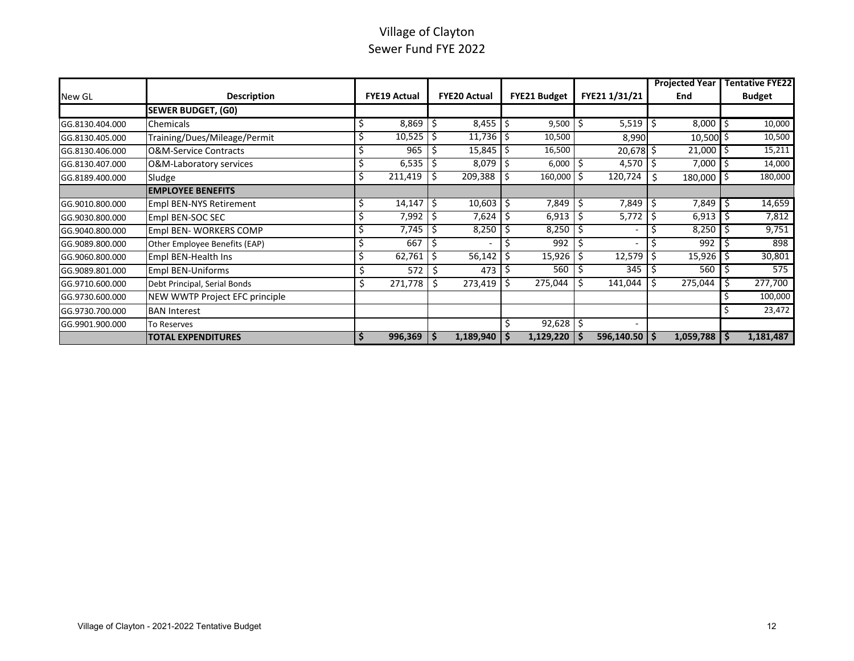# Village of Clayton Sewer Fund FYE 2022

|                 |                                  |          |                     |     |                     |                     |    |                   |    | <b>Projected Year</b> | <b>Tentative FYE22</b> |
|-----------------|----------------------------------|----------|---------------------|-----|---------------------|---------------------|----|-------------------|----|-----------------------|------------------------|
| New GL          | <b>Description</b>               |          | <b>FYE19 Actual</b> |     | <b>FYE20 Actual</b> | <b>FYE21 Budget</b> |    | FYE21 1/31/21     |    | End                   | <b>Budget</b>          |
|                 | <b>SEWER BUDGET, (G0)</b>        |          |                     |     |                     |                     |    |                   |    |                       |                        |
| GG.8130.404.000 | Chemicals                        | S        | 8,869               | Ŝ   | $8,455$ $\mid$ \$   | 9,500               |    | $5,519$   \$      |    | 8,000                 | 10,000                 |
| GG.8130.405.000 | Training/Dues/Mileage/Permit     |          | 10,525              | S   | $11,736$   \$       | 10,500              |    | 8,990             |    | 10,500 \$             | 10,500                 |
| GG.8130.406.000 | <b>O&amp;M-Service Contracts</b> | Ś        | 965                 |     | $15,845$   \$       | 16,500              |    | $20,678$ \$       |    | 21,000                | 15,211                 |
| GG.8130.407.000 | O&M-Laboratory services          | S        | 6,535               |     | $8,079$   \$        | 6,000               |    | 4,570             |    | 7,000                 | 14,000                 |
| GG.8189.400.000 | Sludge                           | S        | 211,419             |     | 209,388             | 160,000             |    | 120,724           | Š. | 180,000               | 180,000                |
|                 | <b>EMPLOYEE BENEFITS</b>         |          |                     |     |                     |                     |    |                   |    |                       |                        |
| GG.9010.800.000 | <b>Empl BEN-NYS Retirement</b>   |          | 14,147              | Ś   | $10,603$   \$       | 7,849               |    | 7,849             |    | 7,849                 | 14,659                 |
| GG.9030.800.000 | Empl BEN-SOC SEC                 |          | 7,992               |     | 7,624               | 6,913               |    | 5,772             |    | 6,913                 | 7,812                  |
| GG.9040.800.000 | Empl BEN- WORKERS COMP           | \$       | 7,745               |     | 8,250               | 8,250               |    |                   |    | 8,250                 | 9,751                  |
| GG.9089.800.000 | Other Employee Benefits (EAP)    | \$       | 667                 | S   |                     | 992                 |    |                   |    | 992                   | 898                    |
| GG.9060.800.000 | Empl BEN-Health Ins              | S        | 62,761              |     | 56,142              | 15,926              |    | 12,579            |    | 15,926                | 30,801                 |
| GG.9089.801.000 | <b>Empl BEN-Uniforms</b>         |          | 572                 | -S  | 473                 | 560                 |    | 345               | ۱s | 560                   | 575                    |
| GG.9710.600.000 | Debt Principal, Serial Bonds     | \$       | 271,778             | .S  | 273,419             | 275,044             |    | 141,044           |    | 275,044               | 277,700                |
| GG.9730.600.000 | NEW WWTP Project EFC principle   |          |                     |     |                     |                     |    |                   |    |                       | 100,000                |
| GG.9730.700.000 | <b>BAN Interest</b>              |          |                     |     |                     |                     |    |                   |    |                       | 23,472                 |
| GG.9901.900.000 | To Reserves                      |          |                     |     |                     | 92,628              | Ŝ. |                   |    |                       |                        |
|                 | <b>TOTAL EXPENDITURES</b>        | <b>S</b> | 996,369             | \$. | 1,189,940           | 1,129,220           |    | $596,140.50$   \$ |    | 1,059,788             | 1,181,487              |